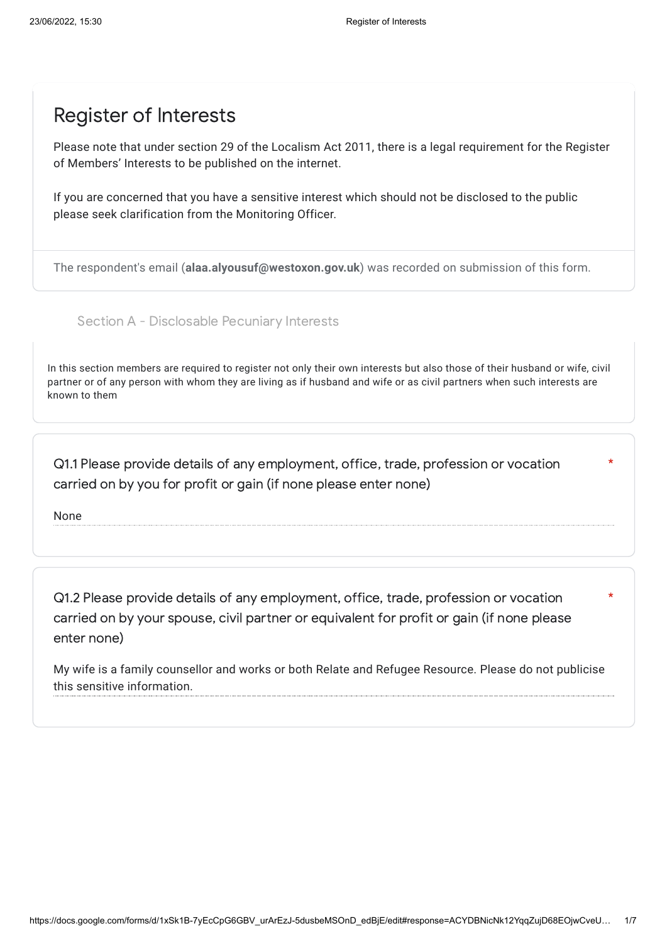## Register of Interests

Please note that under section 29 of the Localism Act 2011, there is a legal requirement for the Register of Members' Interests to be published on the internet.

If you are concerned that you have a sensitive interest which should not be disclosed to the public please seek clarification from the Monitoring Officer.

The respondent's email (**alaa.alyousuf@westoxon.gov.uk**) was recorded on submission of this form.

Section A - Disclosable Pecuniary Interests

In this section members are required to register not only their own interests but also those of their husband or wife, civil partner or of any person with whom they are living as if husband and wife or as civil partners when such interests are known to them

\*

\*

Q1.1 Please provide details of any employment, office, trade, profession or vocation carried on by you for profit or gain (if none please enter none)

None

Q1.2 Please provide details of any employment, office, trade, profession or vocation carried on by your spouse, civil partner or equivalent for profit or gain (if none please enter none)

My wife is a family counsellor and works or both Relate and Refugee Resource. Please do not publicise this sensitive information.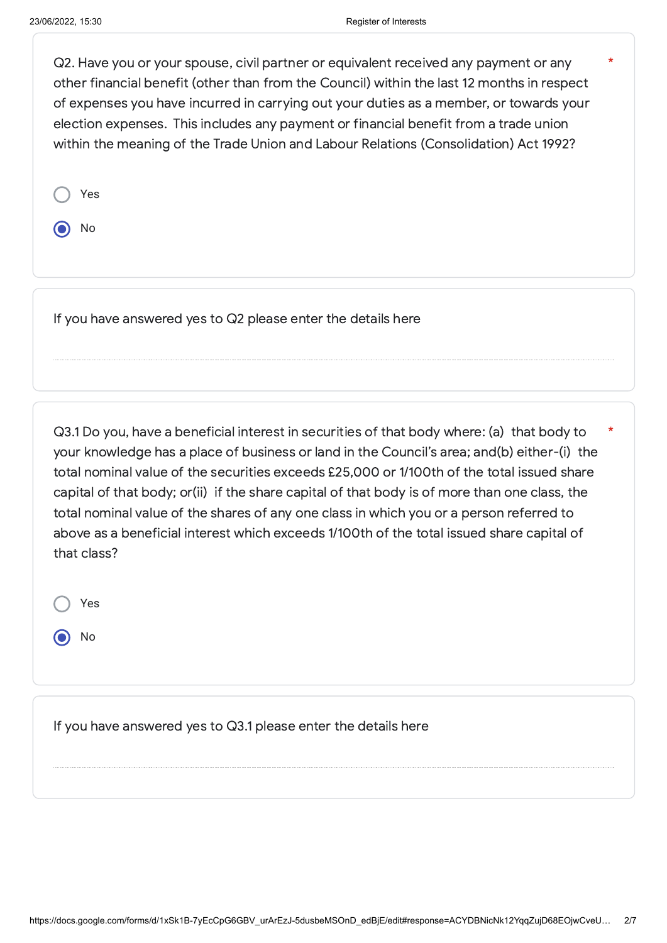\*

Q2. Have you or your spouse, civil partner or equivalent received any payment or any other financial benefit (other than from the Council) within the last 12 months in respect of expenses you have incurred in carrying out your duties as a member, or towards your election expenses. This includes any payment or financial benefit from a trade union within the meaning of the Trade Union and Labour Relations (Consolidation) Act 1992?

No

If you have answered yes to Q2 please enter the details here

Q3.1 Do you, have a beneficial interest in securities of that body where: (a) that body to your knowledge has a place of business or land in the Council's area; and(b) either-(i) the total nominal value of the securities exceeds £25,000 or 1/100th of the total issued share capital of that body; or(ii) if the share capital of that body is of more than one class, the total nominal value of the shares of any one class in which you or a person referred to above as a beneficial interest which exceeds 1/100th of the total issued share capital of that class? \*

Yes

No

If you have answered yes to Q3.1 please enter the details here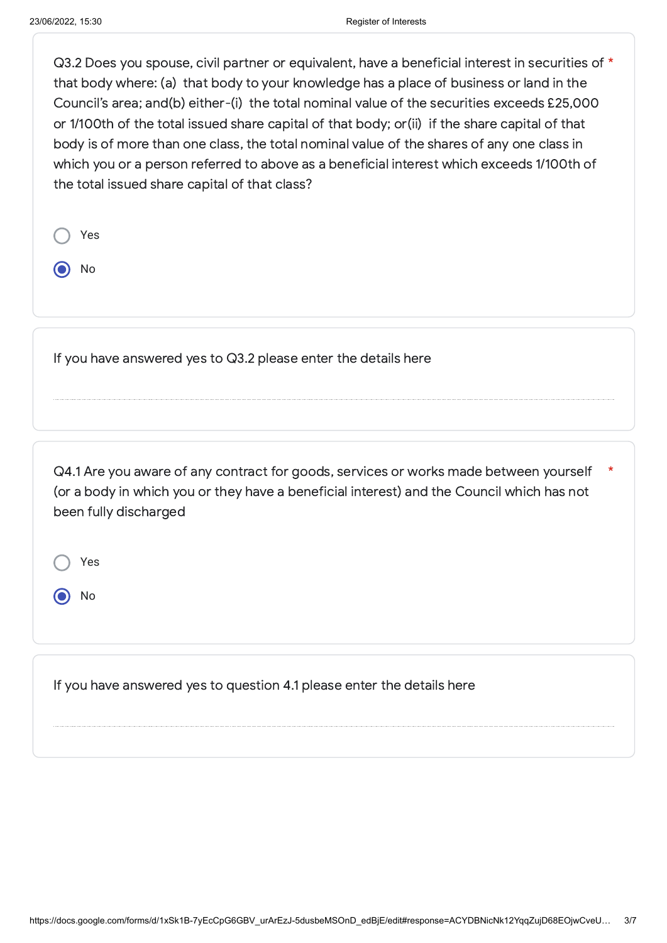$Q3.2$  Does vou spouse, civil partner or equivalent, have a beneficial interest in securities of  $*$ that body where: (a) that body to your knowledge has a place of business or land in the Council's area; and(b) either-(i) the total nominal value of the securities exceeds £25,000 or 1/100th of the total issued share capital of that body; or(ii) if the share capital of that body is of more than one class, the total nominal value of the shares of any one class in which you or a person referred to above as a beneficial interest which exceeds 1/100th of the total issued share capital of that class?

| Yes |  |
|-----|--|
| No  |  |

If you have answered yes to Q3.2 please enter the details here

Q4.1 Are you aware of any contract for goods, services or works made between yourself (or a body in which you or they have a beneficial interest) and the Council which has not been fully discharged \*

Yes

No

If you have answered yes to question 4.1 please enter the details here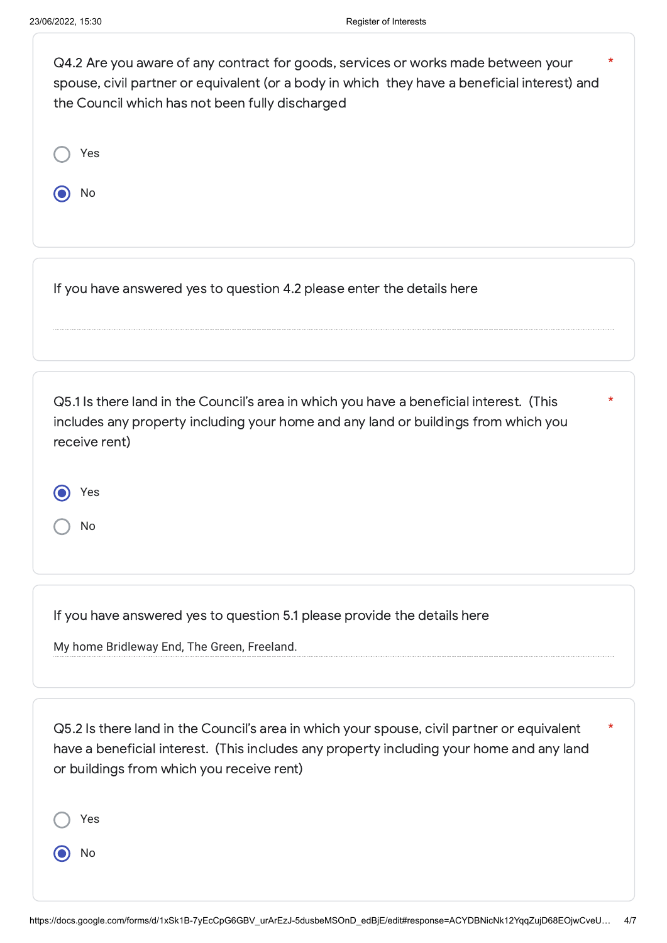| Q4.2 Are you aware of any contract for goods, services or works made between your<br>spouse, civil partner or equivalent (or a body in which they have a beneficial interest) and<br>the Council which has not been fully discharged | $^\star$ |
|--------------------------------------------------------------------------------------------------------------------------------------------------------------------------------------------------------------------------------------|----------|
| Yes                                                                                                                                                                                                                                  |          |
| No                                                                                                                                                                                                                                   |          |
|                                                                                                                                                                                                                                      |          |
| If you have answered yes to question 4.2 please enter the details here                                                                                                                                                               |          |
|                                                                                                                                                                                                                                      |          |

| Q5.1 Is there land in the Council's area in which you have a beneficial interest. (This |
|-----------------------------------------------------------------------------------------|
| includes any property including your home and any land or buildings from which you      |
| receive rent)                                                                           |

\*

| Yes |
|-----|
|     |

No

If you have answered yes to question 5.1 please provide the details here

My home Bridleway End, The Green, Freeland.

Q5.2 Is there land in the Council's area in which your spouse, civil partner or equivalent have a beneficial interest. (This includes any property including your home and any land or buildings from which you receive rent) \*

Yes

No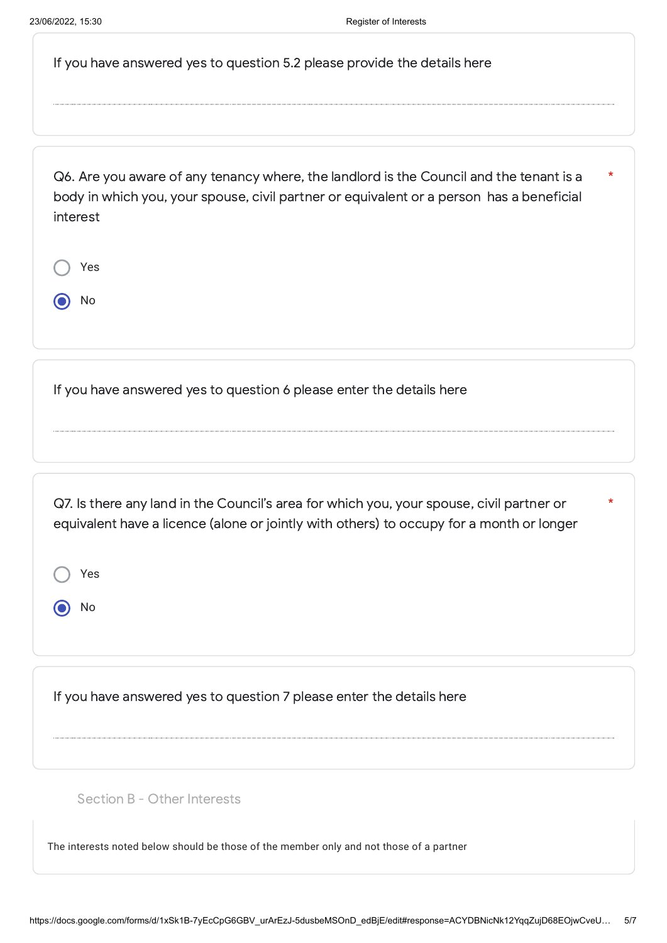| If you have answered yes to question 5.2 please provide the details here |  |
|--------------------------------------------------------------------------|--|
|--------------------------------------------------------------------------|--|

Q6. Are you aware of any tenancy where, the landlord is the Council and the tenant is a body in which you, your spouse, civil partner or equivalent or a person has a beneficial interest \*

|   | Yes |  |  |  |
|---|-----|--|--|--|
| 1 | No  |  |  |  |

If you have answered yes to question 6 please enter the details here

Q7. Is there any land in the Council's area for which you, your spouse, civil partner or equivalent have a licence (alone or jointly with others) to occupy for a month or longer

\*

Yes

No

If you have answered yes to question 7 please enter the details here

Section B - Other Interests

The interests noted below should be those of the member only and not those of a partner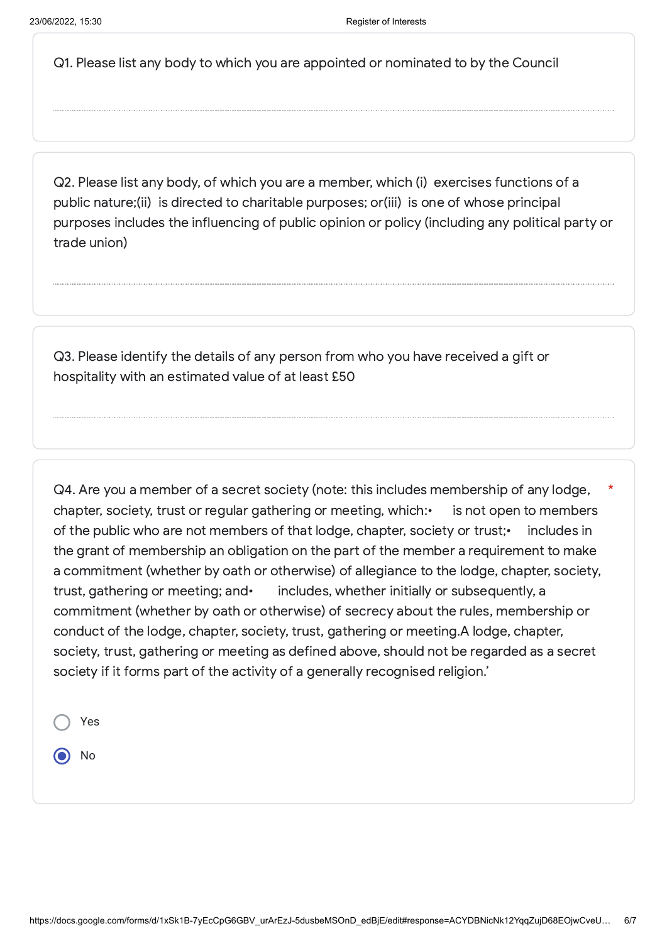Q1. Please list any body to which you are appointed or nominated to by the Council

Q2. Please list any body, of which you are a member, which (i) exercises functions of a public nature;(ii) is directed to charitable purposes; or(iii) is one of whose principal purposes includes the influencing of public opinion or policy (including any political party or trade union)

Q3. Please identify the details of any person from who you have received a gift or hospitality with an estimated value of at least £50

Q4. Are you a member of a secret society (note: this includes membership of any lodge, chapter, society, trust or regular gathering or meeting, which: is not open to members of the public who are not members of that lodge, chapter, society or trust;• includes in the grant of membership an obligation on the part of the member a requirement to make a commitment (whether by oath or otherwise) of allegiance to the lodge, chapter, society, trust, gathering or meeting; and• includes, whether initially or subsequently, a commitment (whether by oath or otherwise) of secrecy about the rules, membership or conduct of the lodge, chapter, society, trust, gathering or meeting.A lodge, chapter, society, trust, gathering or meeting as defined above, should not be regarded as a secret society if it forms part of the activity of a generally recognised religion.' \*

Yes No